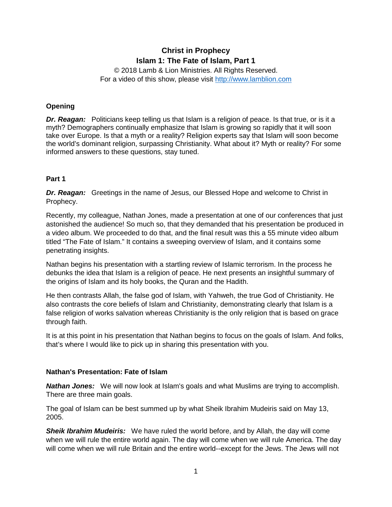# **Christ in Prophecy Islam 1: The Fate of Islam, Part 1**

© 2018 Lamb & Lion Ministries. All Rights Reserved. For a video of this show, please visit [http://www.lamblion.com](http://www.lamblion.com/)

### **Opening**

*Dr. Reagan:* Politicians keep telling us that Islam is a religion of peace. Is that true, or is it a myth? Demographers continually emphasize that Islam is growing so rapidly that it will soon take over Europe. Is that a myth or a reality? Religion experts say that Islam will soon become the world's dominant religion, surpassing Christianity. What about it? Myth or reality? For some informed answers to these questions, stay tuned.

#### **Part 1**

*Dr. Reagan:* Greetings in the name of Jesus, our Blessed Hope and welcome to Christ in Prophecy.

Recently, my colleague, Nathan Jones, made a presentation at one of our conferences that just astonished the audience! So much so, that they demanded that his presentation be produced in a video album. We proceeded to do that, and the final result was this a 55 minute video album titled "The Fate of Islam." It contains a sweeping overview of Islam, and it contains some penetrating insights.

Nathan begins his presentation with a startling review of Islamic terrorism. In the process he debunks the idea that Islam is a religion of peace. He next presents an insightful summary of the origins of Islam and its holy books, the Quran and the Hadith.

He then contrasts Allah, the false god of Islam, with Yahweh, the true God of Christianity. He also contrasts the core beliefs of Islam and Christianity, demonstrating clearly that Islam is a false religion of works salvation whereas Christianity is the only religion that is based on grace through faith.

It is at this point in his presentation that Nathan begins to focus on the goals of Islam. And folks, that's where I would like to pick up in sharing this presentation with you.

#### **Nathan's Presentation: Fate of Islam**

*Nathan Jones:* We will now look at Islam's goals and what Muslims are trying to accomplish. There are three main goals.

The goal of Islam can be best summed up by what Sheik Ibrahim Mudeiris said on May 13, 2005.

*Sheik Ibrahim Mudeiris:* We have ruled the world before, and by Allah, the day will come when we will rule the entire world again. The day will come when we will rule America. The day will come when we will rule Britain and the entire world--except for the Jews. The Jews will not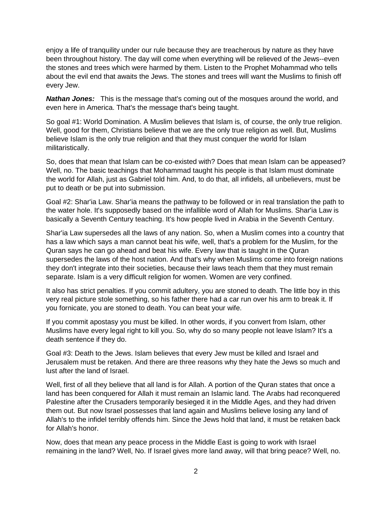enjoy a life of tranquility under our rule because they are treacherous by nature as they have been throughout history. The day will come when everything will be relieved of the Jews--even the stones and trees which were harmed by them. Listen to the Prophet Mohammad who tells about the evil end that awaits the Jews. The stones and trees will want the Muslims to finish off every Jew.

*Nathan Jones:* This is the message that's coming out of the mosques around the world, and even here in America. That's the message that's being taught.

So goal #1: World Domination. A Muslim believes that Islam is, of course, the only true religion. Well, good for them, Christians believe that we are the only true religion as well. But, Muslims believe Islam is the only true religion and that they must conquer the world for Islam militaristically.

So, does that mean that Islam can be co-existed with? Does that mean Islam can be appeased? Well, no. The basic teachings that Mohammad taught his people is that Islam must dominate the world for Allah, just as Gabriel told him. And, to do that, all infidels, all unbelievers, must be put to death or be put into submission.

Goal #2: Shar'ia Law. Shar'ia means the pathway to be followed or in real translation the path to the water hole. It's supposedly based on the infallible word of Allah for Muslims. Shar'ia Law is basically a Seventh Century teaching. It's how people lived in Arabia in the Seventh Century.

Shar'ia Law supersedes all the laws of any nation. So, when a Muslim comes into a country that has a law which says a man cannot beat his wife, well, that's a problem for the Muslim, for the Quran says he can go ahead and beat his wife. Every law that is taught in the Quran supersedes the laws of the host nation. And that's why when Muslims come into foreign nations they don't integrate into their societies, because their laws teach them that they must remain separate. Islam is a very difficult religion for women. Women are very confined.

It also has strict penalties. If you commit adultery, you are stoned to death. The little boy in this very real picture stole something, so his father there had a car run over his arm to break it. If you fornicate, you are stoned to death. You can beat your wife.

If you commit apostasy you must be killed. In other words, if you convert from Islam, other Muslims have every legal right to kill you. So, why do so many people not leave Islam? It's a death sentence if they do.

Goal #3: Death to the Jews. Islam believes that every Jew must be killed and Israel and Jerusalem must be retaken. And there are three reasons why they hate the Jews so much and lust after the land of Israel.

Well, first of all they believe that all land is for Allah. A portion of the Quran states that once a land has been conquered for Allah it must remain an Islamic land. The Arabs had reconquered Palestine after the Crusaders temporarily besieged it in the Middle Ages, and they had driven them out. But now Israel possesses that land again and Muslims believe losing any land of Allah's to the infidel terribly offends him. Since the Jews hold that land, it must be retaken back for Allah's honor.

Now, does that mean any peace process in the Middle East is going to work with Israel remaining in the land? Well, No. If Israel gives more land away, will that bring peace? Well, no.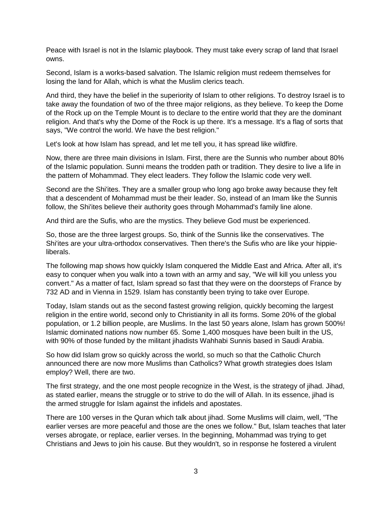Peace with Israel is not in the Islamic playbook. They must take every scrap of land that Israel owns.

Second, Islam is a works-based salvation. The Islamic religion must redeem themselves for losing the land for Allah, which is what the Muslim clerics teach.

And third, they have the belief in the superiority of Islam to other religions. To destroy Israel is to take away the foundation of two of the three major religions, as they believe. To keep the Dome of the Rock up on the Temple Mount is to declare to the entire world that they are the dominant religion. And that's why the Dome of the Rock is up there. It's a message. It's a flag of sorts that says, "We control the world. We have the best religion."

Let's look at how Islam has spread, and let me tell you, it has spread like wildfire.

Now, there are three main divisions in Islam. First, there are the Sunnis who number about 80% of the Islamic population. Sunni means the trodden path or tradition. They desire to live a life in the pattern of Mohammad. They elect leaders. They follow the Islamic code very well.

Second are the Shi'ites. They are a smaller group who long ago broke away because they felt that a descendent of Mohammad must be their leader. So, instead of an Imam like the Sunnis follow, the Shi'ites believe their authority goes through Mohammad's family line alone.

And third are the Sufis, who are the mystics. They believe God must be experienced.

So, those are the three largest groups. So, think of the Sunnis like the conservatives. The Shi'ites are your ultra-orthodox conservatives. Then there's the Sufis who are like your hippieliberals.

The following map shows how quickly Islam conquered the Middle East and Africa. After all, it's easy to conquer when you walk into a town with an army and say, "We will kill you unless you convert." As a matter of fact, Islam spread so fast that they were on the doorsteps of France by 732 AD and in Vienna in 1529. Islam has constantly been trying to take over Europe.

Today, Islam stands out as the second fastest growing religion, quickly becoming the largest religion in the entire world, second only to Christianity in all its forms. Some 20% of the global population, or 1.2 billion people, are Muslims. In the last 50 years alone, Islam has grown 500%! Islamic dominated nations now number 65. Some 1,400 mosques have been built in the US, with 90% of those funded by the militant jihadists Wahhabi Sunnis based in Saudi Arabia.

So how did Islam grow so quickly across the world, so much so that the Catholic Church announced there are now more Muslims than Catholics? What growth strategies does Islam employ? Well, there are two.

The first strategy, and the one most people recognize in the West, is the strategy of jihad. Jihad, as stated earlier, means the struggle or to strive to do the will of Allah. In its essence, jihad is the armed struggle for Islam against the infidels and apostates.

There are 100 verses in the Quran which talk about jihad. Some Muslims will claim, well, "The earlier verses are more peaceful and those are the ones we follow." But, Islam teaches that later verses abrogate, or replace, earlier verses. In the beginning, Mohammad was trying to get Christians and Jews to join his cause. But they wouldn't, so in response he fostered a virulent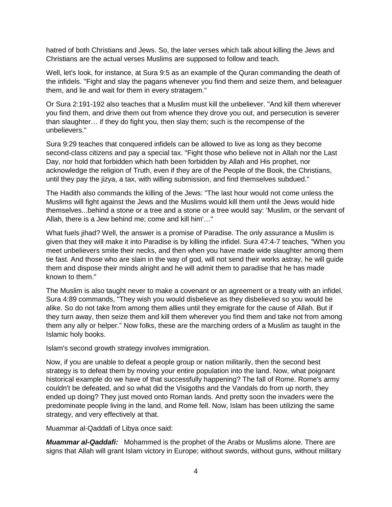hatred of both Christians and Jews. So, the later verses which talk about killing the Jews and Christians are the actual verses Muslims are supposed to follow and teach.

Well, let's look, for instance, at Sura 9:5 as an example of the Quran commanding the death of the infidels. "Fight and slay the pagans whenever you find them and seize them, and beleaguer them, and lie and wait for them in every stratagem."

Or Sura 2:191-192 also teaches that a Muslim must kill the unbeliever. "And kill them wherever you find them, and drive them out from whence they drove you out, and persecution is severer than slaughter… if they do fight you, then slay them; such is the recompense of the unbelievers."

Sura 9:29 teaches that conquered infidels can be allowed to live as long as they become second-class citizens and pay a special tax. "Fight those who believe not in Allah nor the Last Day, nor hold that forbidden which hath been forbidden by Allah and His prophet, nor acknowledge the religion of Truth, even if they are of the People of the Book, the Christians, until they pay the jizya, a tax, with willing submission, and find themselves subdued."

The Hadith also commands the killing of the Jews: "The last hour would not come unless the Muslims will fight against the Jews and the Muslims would kill them until the Jews would hide themselves...behind a stone or a tree and a stone or a tree would say: 'Muslim, or the servant of Allah, there is a Jew behind me; come and kill him'…"

What fuels jihad? Well, the answer is a promise of Paradise. The only assurance a Muslim is given that they will make it into Paradise is by killing the infidel. Sura 47:4-7 teaches, "When you meet unbelievers smite their necks, and then when you have made wide slaughter among them tie fast. And those who are slain in the way of god, will not send their works astray, he will guide them and dispose their minds alright and he will admit them to paradise that he has made known to them."

The Muslim is also taught never to make a covenant or an agreement or a treaty with an infidel. Sura 4:89 commands, "They wish you would disbelieve as they disbelieved so you would be alike. So do not take from among them allies until they emigrate for the cause of Allah. But if they turn away, then seize them and kill them wherever you find them and take not from among them any ally or helper." Now folks, these are the marching orders of a Muslim as taught in the Islamic holy books.

Islam's second growth strategy involves immigration.

Now, if you are unable to defeat a people group or nation militarily, then the second best strategy is to defeat them by moving your entire population into the land. Now, what poignant historical example do we have of that successfully happening? The fall of Rome. Rome's army couldn't be defeated, and so what did the Visigoths and the Vandals do from up north, they ended up doing? They just moved onto Roman lands. And pretty soon the invaders were the predominate people living in the land, and Rome fell. Now, Islam has been utilizing the same strategy, and very effectively at that.

Muammar al-Qaddafi of Libya once said:

*Muammar al-Qaddafi:* Mohammed is the prophet of the Arabs or Muslims alone. There are signs that Allah will grant Islam victory in Europe; without swords, without guns, without military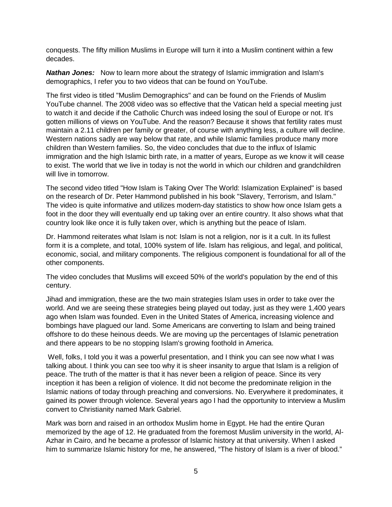conquests. The fifty million Muslims in Europe will turn it into a Muslim continent within a few decades.

*Nathan Jones:* Now to learn more about the strategy of Islamic immigration and Islam's demographics, I refer you to two videos that can be found on YouTube.

The first video is titled "Muslim Demographics" and can be found on the Friends of Muslim YouTube channel. The 2008 video was so effective that the Vatican held a special meeting just to watch it and decide if the Catholic Church was indeed losing the soul of Europe or not. It's gotten millions of views on YouTube. And the reason? Because it shows that fertility rates must maintain a 2.11 children per family or greater, of course with anything less, a culture will decline. Western nations sadly are way below that rate, and while Islamic families produce many more children than Western families. So, the video concludes that due to the influx of Islamic immigration and the high Islamic birth rate, in a matter of years, Europe as we know it will cease to exist. The world that we live in today is not the world in which our children and grandchildren will live in tomorrow.

The second video titled "How Islam is Taking Over The World: Islamization Explained" is based on the research of Dr. Peter Hammond published in his book "Slavery, Terrorism, and Islam." The video is quite informative and utilizes modern-day statistics to show how once Islam gets a foot in the door they will eventually end up taking over an entire country. It also shows what that country look like once it is fully taken over, which is anything but the peace of Islam.

Dr. Hammond reiterates what Islam is not: Islam is not a religion, nor is it a cult. In its fullest form it is a complete, and total, 100% system of life. Islam has religious, and legal, and political, economic, social, and military components. The religious component is foundational for all of the other components.

The video concludes that Muslims will exceed 50% of the world's population by the end of this century.

Jihad and immigration, these are the two main strategies Islam uses in order to take over the world. And we are seeing these strategies being played out today, just as they were 1,400 years ago when Islam was founded. Even in the United States of America, increasing violence and bombings have plagued our land. Some Americans are converting to Islam and being trained offshore to do these heinous deeds. We are moving up the percentages of Islamic penetration and there appears to be no stopping Islam's growing foothold in America.

Well, folks, I told you it was a powerful presentation, and I think you can see now what I was talking about. I think you can see too why it is sheer insanity to argue that Islam is a religion of peace. The truth of the matter is that it has never been a religion of peace. Since its very inception it has been a religion of violence. It did not become the predominate religion in the Islamic nations of today through preaching and conversions. No. Everywhere it predominates, it gained its power through violence. Several years ago I had the opportunity to interview a Muslim convert to Christianity named Mark Gabriel.

Mark was born and raised in an orthodox Muslim home in Egypt. He had the entire Quran memorized by the age of 12. He graduated from the foremost Muslim university in the world, Al-Azhar in Cairo, and he became a professor of Islamic history at that university. When I asked him to summarize Islamic history for me, he answered, "The history of Islam is a river of blood."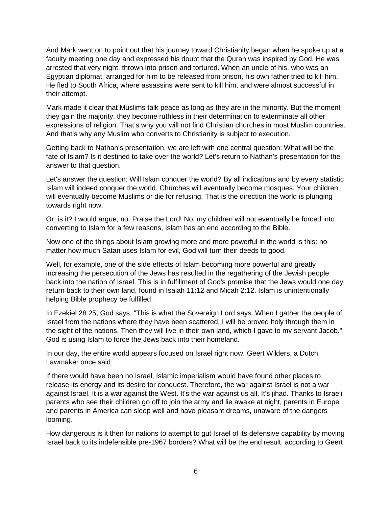And Mark went on to point out that his journey toward Christianity began when he spoke up at a faculty meeting one day and expressed his doubt that the Quran was inspired by God. He was arrested that very night, thrown into prison and tortured. When an uncle of his, who was an Egyptian diplomat, arranged for him to be released from prison, his own father tried to kill him. He fled to South Africa, where assassins were sent to kill him, and were almost successful in their attempt.

Mark made it clear that Muslims talk peace as long as they are in the minority. But the moment they gain the majority, they become ruthless in their determination to exterminate all other expressions of religion. That's why you will not find Christian churches in most Muslim countries. And that's why any Muslim who converts to Christianity is subject to execution.

Getting back to Nathan's presentation, we are left with one central question: What will be the fate of Islam? Is it destined to take over the world? Let's return to Nathan's presentation for the answer to that question.

Let's answer the question: Will Islam conquer the world? By all indications and by every statistic Islam will indeed conquer the world. Churches will eventually become mosques. Your children will eventually become Muslims or die for refusing. That is the direction the world is plunging towards right now.

Or, is it? I would argue, no. Praise the Lord! No, my children will not eventually be forced into converting to Islam for a few reasons, Islam has an end according to the Bible.

Now one of the things about Islam growing more and more powerful in the world is this: no matter how much Satan uses Islam for evil, God will turn their deeds to good.

Well, for example, one of the side effects of Islam becoming more powerful and greatly increasing the persecution of the Jews has resulted in the regathering of the Jewish people back into the nation of Israel. This is in fulfillment of God's promise that the Jews would one day return back to their own land, found in Isaiah 11:12 and Micah 2:12. Islam is unintentionally helping Bible prophecy be fulfilled.

In Ezekiel 28:25, God says, "This is what the Sovereign Lord says: When I gather the people of Israel from the nations where they have been scattered, I will be proved holy through them in the sight of the nations. Then they will live in their own land, which I gave to my servant Jacob." God is using Islam to force the Jews back into their homeland.

In our day, the entire world appears focused on Israel right now. Geert Wilders, a Dutch Lawmaker once said:

If there would have been no Israel, Islamic imperialism would have found other places to release its energy and its desire for conquest. Therefore, the war against Israel is not a war against Israel. It is a war against the West. It's the war against us all. It's jihad. Thanks to Israeli parents who see their children go off to join the army and lie awake at night, parents in Europe and parents in America can sleep well and have pleasant dreams, unaware of the dangers looming.

How dangerous is it then for nations to attempt to gut Israel of its defensive capability by moving Israel back to its indefensible pre-1967 borders? What will be the end result, according to Geert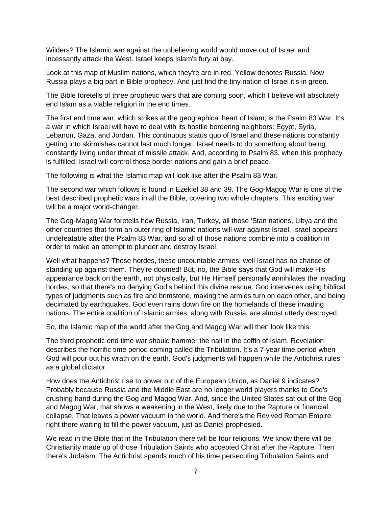Wilders? The Islamic war against the unbelieving world would move out of Israel and incessantly attack the West. Israel keeps Islam's fury at bay.

Look at this map of Muslim nations, which they're are in red. Yellow denotes Russia. Now Russia plays a big part in Bible prophecy. And just find the tiny nation of Israel it's in green.

The Bible foretells of three prophetic wars that are coming soon, which I believe will absolutely end Islam as a viable religion in the end times.

The first end time war, which strikes at the geographical heart of Islam, is the Psalm 83 War. It's a war in which Israel will have to deal with its hostile bordering neighbors: Egypt, Syria, Lebanon, Gaza, and Jordan. This continuous status quo of Israel and these nations constantly getting into skirmishes cannot last much longer. Israel needs to do something about being constantly living under threat of missile attack. And, according to Psalm 83, when this prophecy is fulfilled, Israel will control those border nations and gain a brief peace.

The following is what the Islamic map will look like after the Psalm 83 War.

The second war which follows is found in Ezekiel 38 and 39. The Gog-Magog War is one of the best described prophetic wars in all the Bible, covering two whole chapters. This exciting war will be a major world-changer.

The Gog-Magog War foretells how Russia, Iran, Turkey, all those 'Stan nations, Libya and the other countries that form an outer ring of Islamic nations will war against Israel. Israel appears undefeatable after the Psalm 83 War, and so all of those nations combine into a coalition in order to make an attempt to plunder and destroy Israel.

Well what happens? These hordes, these uncountable armies, well Israel has no chance of standing up against them. They're doomed! But, no, the Bible says that God will make His appearance back on the earth, not physically, but He Himself personally annihilates the invading hordes, so that there's no denying God's behind this divine rescue. God intervenes using biblical types of judgments such as fire and brimstone, making the armies turn on each other, and being decimated by earthquakes. God even rains down fire on the homelands of these invading nations. The entire coalition of Islamic armies, along with Russia, are almost utterly destroyed.

So, the Islamic map of the world after the Gog and Magog War will then look like this.

The third prophetic end time war should hammer the nail in the coffin of Islam. Revelation describes the horrific time period coming called the Tribulation. It's a 7-year time period when God will pour out his wrath on the earth. God's judgments will happen while the Antichrist rules as a global dictator.

How does the Antichrist rise to power out of the European Union, as Daniel 9 indicates? Probably because Russia and the Middle East are no longer world players thanks to God's crushing hand during the Gog and Magog War. And, since the United States sat out of the Gog and Magog War, that shows a weakening in the West, likely due to the Rapture or financial collapse. That leaves a power vacuum in the world. And there's the Revived Roman Empire right there waiting to fill the power vacuum, just as Daniel prophesied.

We read in the Bible that in the Tribulation there will be four religions. We know there will be Christianity made up of those Tribulation Saints who accepted Christ after the Rapture. Then there's Judaism. The Antichrist spends much of his time persecuting Tribulation Saints and